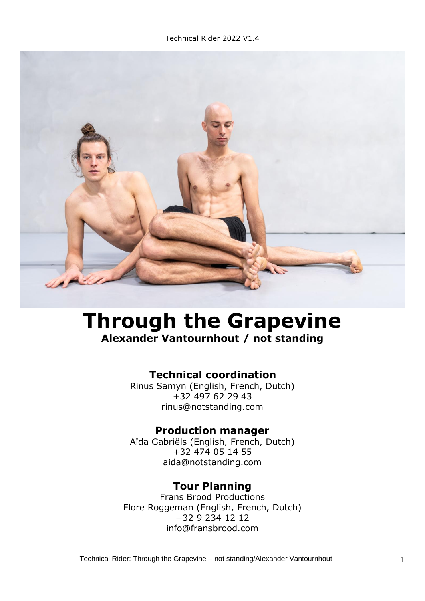

# **Through the Grapevine Alexander Vantournhout / not standing**

## **Technical coordination**

Rinus Samyn (English, French, Dutch) +32 497 62 29 43 rinus@notstanding.com

#### **Production manager**

Aïda Gabriëls (English, French, Dutch) +32 474 05 14 55 aida@notstanding.com

#### **Tour Planning**

Frans Brood Productions Flore Roggeman (English, French, Dutch) +32 9 234 12 12 info@fransbrood.com

Technical Rider: Through the Grapevine – not standing/Alexander Vantournhout 1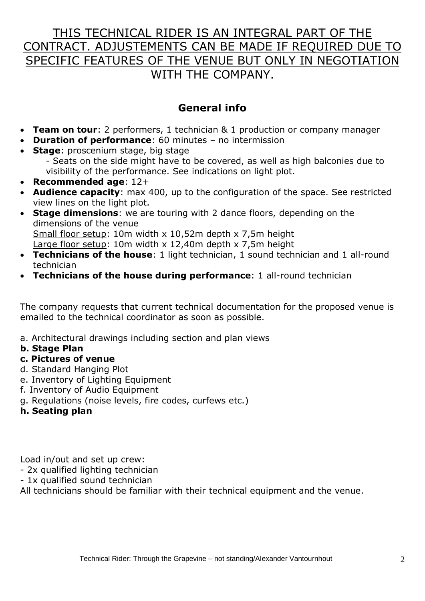# THIS TECHNICAL RIDER IS AN INTEGRAL PART OF THE CONTRACT. ADJUSTEMENTS CAN BE MADE IF REQUIRED DUE TO SPECIFIC FEATURES OF THE VENUE BUT ONLY IN NEGOTIATION WITH THE COMPANY.

# **General info**

- **Team on tour**: 2 performers, 1 technician & 1 production or company manager
- **Duration of performance**: 60 minutes no intermission
- **Stage: proscenium stage, big stage**

- Seats on the side might have to be covered, as well as high balconies due to visibility of the performance. See indications on light plot.

- **Recommended age**: 12+
- **Audience capacity**: max 400, up to the configuration of the space. See restricted view lines on the light plot.
- **Stage dimensions**: we are touring with 2 dance floors, depending on the dimensions of the venue Small floor setup: 10m width x 10,52m depth x 7,5m height Large floor setup: 10m width x 12,40m depth x 7,5m height
- **Technicians of the house**: 1 light technician, 1 sound technician and 1 all-round technician
- **Technicians of the house during performance**: 1 all-round technician

The company requests that current technical documentation for the proposed venue is emailed to the technical coordinator as soon as possible.

a. Architectural drawings including section and plan views

#### **b. Stage Plan**

- **c. Pictures of venue**
- d. Standard Hanging Plot
- e. Inventory of Lighting Equipment
- f. Inventory of Audio Equipment
- g. Regulations (noise levels, fire codes, curfews etc.)
- **h. Seating plan**

Load in/out and set up crew:

- 2x qualified lighting technician
- 1x qualified sound technician

All technicians should be familiar with their technical equipment and the venue.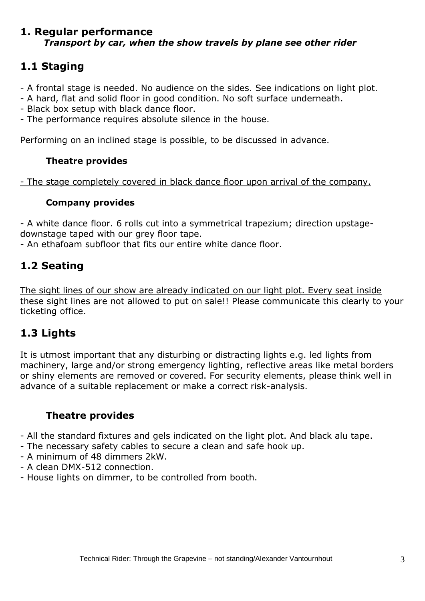#### **1. Regular performance** *Transport by car, when the show travels by plane see other rider*

# **1.1 Staging**

- A frontal stage is needed. No audience on the sides. See indications on light plot.

- A hard, flat and solid floor in good condition. No soft surface underneath.
- Black box setup with black dance floor.
- The performance requires absolute silence in the house.

Performing on an inclined stage is possible, to be discussed in advance.

#### **Theatre provides**

- The stage completely covered in black dance floor upon arrival of the company.

#### **Company provides**

- A white dance floor. 6 rolls cut into a symmetrical trapezium; direction upstagedownstage taped with our grey floor tape.

- An ethafoam subfloor that fits our entire white dance floor.

## **1.2 Seating**

The sight lines of our show are already indicated on our light plot. Every seat inside these sight lines are not allowed to put on sale!! Please communicate this clearly to your ticketing office.

## **1.3 Lights**

It is utmost important that any disturbing or distracting lights e.g. led lights from machinery, large and/or strong emergency lighting, reflective areas like metal borders or shiny elements are removed or covered. For security elements, please think well in advance of a suitable replacement or make a correct risk-analysis.

## **Theatre provides**

- All the standard fixtures and gels indicated on the light plot. And black alu tape.
- The necessary safety cables to secure a clean and safe hook up.
- A minimum of 48 dimmers 2kW.
- A clean DMX-512 connection.
- House lights on dimmer, to be controlled from booth.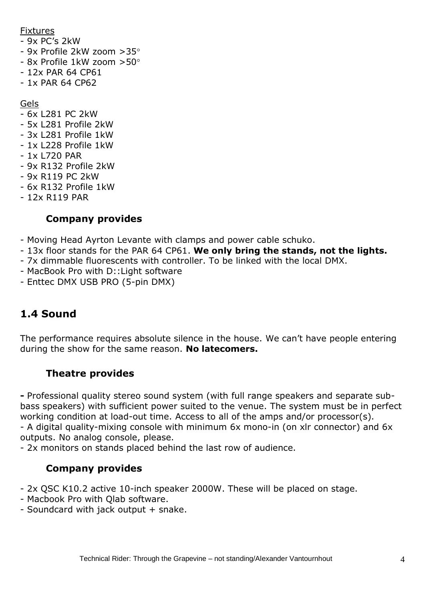#### Fixtures

- 9x PC's 2kW
- 9x Profile 2kW zoom >35
- 8x Profile 1kW zoom >50
- 12x PAR 64 CP61
- 1x PAR 64 CP62

Gels

- 6x L281 PC 2kW
- 5x L281 Profile 2kW
- 3x L281 Profile 1kW
- 1x L228 Profile 1kW
- 1x L720 PAR
- 9x R132 Profile 2kW
- 9x R119 PC 2kW
- 6x R132 Profile 1kW
- 12x R119 PAR

### **Company provides**

- Moving Head Ayrton Levante with clamps and power cable schuko.
- 13x floor stands for the PAR 64 CP61. **We only bring the stands, not the lights.**
- 7x dimmable fluorescents with controller. To be linked with the local DMX.
- MacBook Pro with D::Light software
- Enttec DMX USB PRO (5-pin DMX)

# **1.4 Sound**

The performance requires absolute silence in the house. We can't have people entering during the show for the same reason. **No latecomers.**

## **Theatre provides**

**-** Professional quality stereo sound system (with full range speakers and separate subbass speakers) with sufficient power suited to the venue. The system must be in perfect working condition at load-out time. Access to all of the amps and/or processor(s). - A digital quality-mixing console with minimum 6x mono-in (on xlr connector) and 6x outputs. No analog console, please.

- 2x monitors on stands placed behind the last row of audience.

## **Company provides**

- 2x QSC K10.2 active 10-inch speaker 2000W. These will be placed on stage.

- Macbook Pro with Qlab software.
- Soundcard with jack output + snake.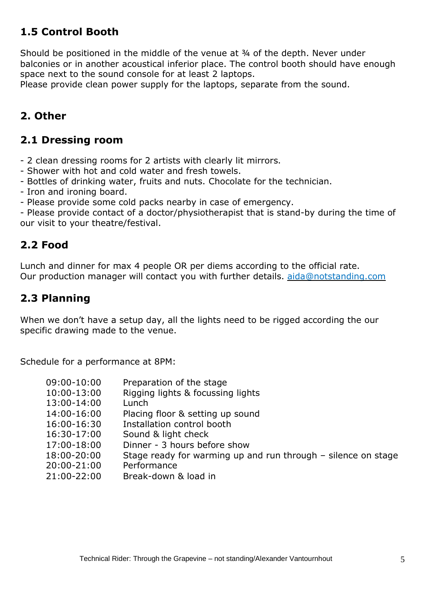## **1.5 Control Booth**

Should be positioned in the middle of the venue at ¾ of the depth. Never under balconies or in another acoustical inferior place. The control booth should have enough space next to the sound console for at least 2 laptops.

Please provide clean power supply for the laptops, separate from the sound.

## **2. Other**

#### **2.1 Dressing room**

- 2 clean dressing rooms for 2 artists with clearly lit mirrors.
- Shower with hot and cold water and fresh towels.
- Bottles of drinking water, fruits and nuts. Chocolate for the technician.
- Iron and ironing board.
- Please provide some cold packs nearby in case of emergency.

- Please provide contact of a doctor/physiotherapist that is stand-by during the time of our visit to your theatre/festival.

#### **2.2 Food**

Lunch and dinner for max 4 people OR per diems according to the official rate. Our production manager will contact you with further details. [aida@notstanding.com](mailto:aida@notstanding.com)

### **2.3 Planning**

When we don't have a setup day, all the lights need to be rigged according the our specific drawing made to the venue.

Schedule for a performance at 8PM:

| 09:00-10:00 | Preparation of the stage                                      |
|-------------|---------------------------------------------------------------|
|             |                                                               |
| 10:00-13:00 | Rigging lights & focussing lights                             |
| 13:00-14:00 | Lunch                                                         |
| 14:00-16:00 | Placing floor & setting up sound                              |
| 16:00-16:30 | Installation control booth                                    |
| 16:30-17:00 | Sound & light check                                           |
| 17:00-18:00 | Dinner - 3 hours before show                                  |
| 18:00-20:00 | Stage ready for warming up and run through - silence on stage |
| 20:00-21:00 | Performance                                                   |
| 21:00-22:00 | Break-down & load in                                          |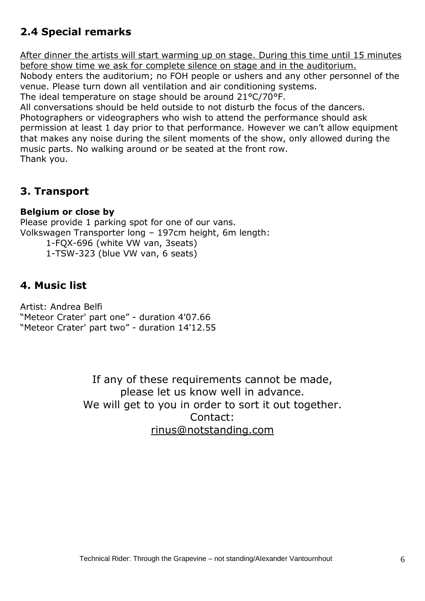# **2.4 Special remarks**

After dinner the artists will start warming up on stage. During this time until 15 minutes before show time we ask for complete silence on stage and in the auditorium.

Nobody enters the auditorium; no FOH people or ushers and any other personnel of the venue. Please turn down all ventilation and air conditioning systems.

The ideal temperature on stage should be around 21°C/70°F.

All conversations should be held outside to not disturb the focus of the dancers.

Photographers or videographers who wish to attend the performance should ask permission at least 1 day prior to that performance. However we can't allow equipment that makes any noise during the silent moments of the show, only allowed during the music parts. No walking around or be seated at the front row. Thank you.

## **3. Transport**

#### **Belgium or close by**

Please provide 1 parking spot for one of our vans. Volkswagen Transporter long – 197cm height, 6m length: 1-FQX-696 (white VW van, 3seats) 1-TSW-323 (blue VW van, 6 seats)

## **4. Music list**

Artist: Andrea Belfi "Meteor Crater' part one" - duration 4'07.66 "Meteor Crater' part two" - duration 14'12.55

> If any of these requirements cannot be made, please let us know well in advance. We will get to you in order to sort it out together. Contact: [rinus@notstanding.com](mailto:rinus@notstanding.com)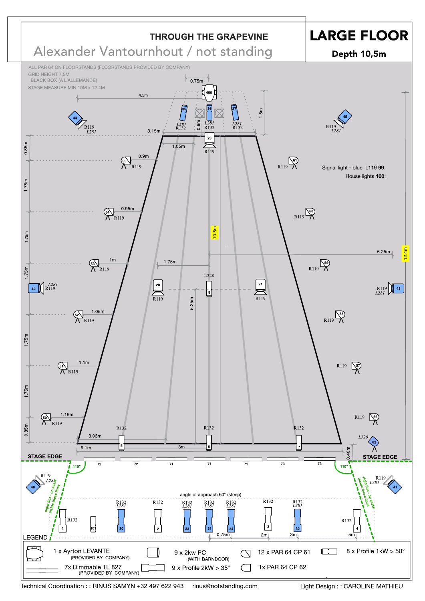

Technical Coordination:: RINUS SAMYN +32 497 622 943 rinus@notstanding.com Light Design : : CAROLINE MATHIEU